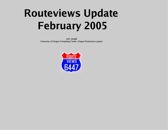#### **Routeviews Update February 2005**

Joel Jaeggli University of Oregon Computing Center, Oregon Routeviews project

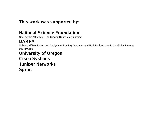**This work was supported by:**

#### **National Science Foundation**

NSF Award #0323769 The Oregon Route-Views project

#### **DARPA**

Subaward "Monitoring and Analysis of Routing Dynamics and Path Redundancy in the Global Internet (NETPATH)"

**University of Oregon Cisco Systems Juniper Networks Sprint**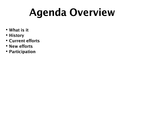## **Agenda Overview**

- **What is it**
- **History**
- **Current efforts**
- **New efforts**
- **Participation**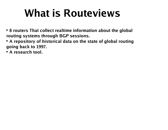### **What is Routeviews**

- **8 routers That collect realtime information about the global routing systems through BGP sessions.**
- **A repository of historical data on the state of global routing going back to 1997.**
- **A research tool.**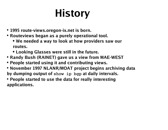- **1995 route-views.oregon-ix.net is born.**
- **Routeviews began as a purely operational tool.**
	- **We needed a way to look at how providers saw our routes.**
	- **Looking Glasses were still in the future.**
- **Randy Bush (RAINET) gave us a view from MAE-WEST**
- **People started using it and contributing views.**
- **November 1997 NLANR/MOAT project begins archiving data by dumping output of show ip bgp at daily intervals.**
- **People started to use the data for really interesting applications.**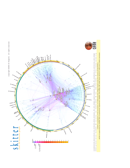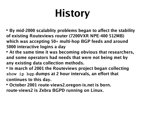**By mid-2000 scalablity problems began to affect the stability of existing Routeviews router (7200VXR NPE-400 512MB) which was accepting 50+ multi-hop BGP feeds and around 5000 interactive logins a day**

- **At the same time it was becoming obvious that researchers, and some operators had needs that were not being met by any existing data collection methods.**
- **In march of 2001 the Routeviews project began collecting show ip bgp dumps at 2 hour intervals, an effort that continues to this day.**
- **October 2001 route-views2.oregon-ix.net is born. route-views2 is Zebra BGPD running on Linux.**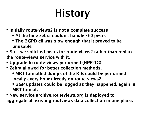- **Initially route-views2 is not a complete success**
	- **At the time zebra couldn't handle ~60 peers**
	- **The BGPD cli was slow enough that it proved to be unusable**
- **So... we solicited peers for route-views2 rather than replace the route-views service with it.**
- **Upgrade to route-views performed (NPE-1G)**
- **Zebra allowed for better collection methods.** 
	- **MRT formatted dumps of the RIB could be performed locally every hour directly on route-views2.**
	- **BGP updates could be logged as they happened, again in MRT format.**
- **New service archive.routeviews.org is deployed to aggregate all existing routviews data collection in one place.**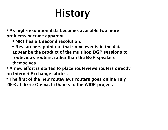**As high-resolution data becomes available two more problems become apparent.**

- **MRT has a 1 second resolution.**
- **Researchers point out that some events in the data appear be the product of the multihop BGP sessions to routeviews routers, rather than the BGP speakers themselves.**
- **A new effort is started to place routeviews routers directly on Internet Exchange fabrics.**
- **The first of the new routeviews routers goes online July 2003 at dix-ie Otemachi thanks to the WIDE project.**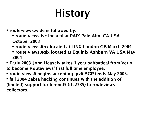- **route-views.wide is followed by:**
	- **route-views.isc located at PAIX Palo Alto CA USAOctober 2003**
	- **route-views.linx located at LINX London GB March 2004**
	- **route-views.eqix located at Equinix Ashburn VA USA May 2004**
- **Early 2003 John Heasely takes 1 year sabbatical from Verio to become Routeviews' first full time employee.**
- **route-views6 begins accepting ipv6 BGP feeds May 2003.**
- **fall 2004 Zebra hacking continues with the addition of (limited) support for tcp-md5 (rfc2385) to routeviews collectors.**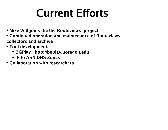#### **Current Efforts**

- **Mike Witt joins the the Routeviews project.**
- **Continued operation and maintenance of Routeviews collectors and archive**
- **Tool development.**
	- **BGPlay http://bgplay.uoregon.edu**
	- **IP to ASN DNS Zones**
- **Collaboration with researchers**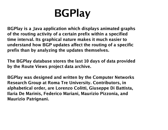#### **BGPlay**

**BGPlay is a Java application which displays animated graphs of the routing activity of a certain prefix within a specified time interval. Its graphical nature makes it much easier to understand how BGP updates affect the routing of a specific prefix than by analyzing the updates themselves.**

**The BGPlay database stores the last 10 days of data provided by the Route Views project data archive.** 

**BGPlay was designed and written by the Computer Networks Research Group at Roma Tre University. Contributors, in alphabetical order, are Lorenzo Colitti, Giuseppe Di Battista, Ilaria De Marinis, Federico Mariani, Maurizio Pizzonia, and Maurizio Patrignani.**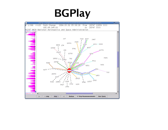#### **BGPlay**

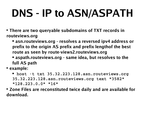## **DNS - IP to ASN/ASPATH**

**There are two queryable subdomains of TXT records in routeviews.org**

- **asn.routeviews.org resolves a reversed ipv4 address or prefix to the origin AS prefix and prefix lengthof the best route as seen by route-views2.routeviews.org**
- **aspath.routeviews.org same idea, but resolves to the full AS path**
- **example:**

**host -t txt 35.32.223.128.asn.routeviews.org 35.32.223.128.asn.routeviews.org text "3582" "128.223.0.0" "16"**

**Zone Files are reconstituted twice daily and are available for download.**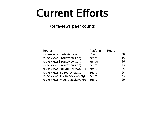#### **Current Efforts**

#### Routeviews peer counts

| Router                          | Platform | Peers |    |
|---------------------------------|----------|-------|----|
| route-views.routeviews.org      | Cisco    |       | 70 |
| route-views2.routeviews.org     | zebra    |       | 45 |
| route-views3.routeviews.org     | juniper  |       | 36 |
| route-views6.routeviews.org     | zebra    |       | 13 |
| route-views.eqix.routeviews.org | zebra    |       | 5  |
| route-views.isc.routeviews.org  | zebra    |       | 14 |
| route-views.linx.routeviews.org | zebra    |       | 23 |
| route-views.wide.routeviews.org | zebra    |       | 10 |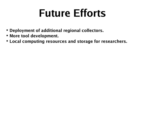#### **Future Efforts**

- **Deployment of additional regional collectors.**
- **More tool development.**
- **Local computing resources and storage for researchers.**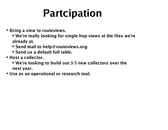## **Partcipation**

- **Bring a view to routeviews.**
	- **We're really looking for single hop views at the IXes we're already at.**
	- **Send mail to help@routeviews.org.**
	- **Send us a default full table.**
- **Host a collector.**
	- **We're looking to build out 3-5 new collectors over the next year.**
- **Use as an operational or research tool.**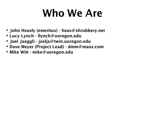## **Who We Are**

- **John Heasly (emeritus) heas@shrubbery.net**
- **Lucy Lynch llynch@uoregon.edu**
- **Joel Jaeggli joelja@twin.uoregon.edu**
- **Dave Meyer (Project Lead) dmm@maoz.com**
- **Mike Witt mike@uoregon.edu**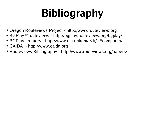# **Bibliography**

- Oregon Routeviews Project http://www.routeviews.org
- BGPlay@routeviews http://bgplay.routeviews.org/bgplay/
- BGPlay creators http://www.dia.uniroma3.it/~Ecompunet/
- CAIDA http://www.caida.org
- Routeviews Bibliography http://www.routeviews.org/papers/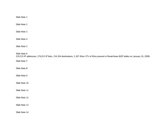Slide Note 1:

Slide Note 2:

Slide Note 3:

Slide Note 4:

Slide Note 5:

Slide Note 6: 220,533 IP addresses, 374,013 IP links, 154,104 destinations, 5,107 ASes (7% of ASes present in RouteViews BGP tables on January 16, 2000)

Slide Note 7:

Slide Note 8:

Slide Note 9:

Slide Note 10:

Slide Note 11:

Slide Note 12:

Slide Note 13:

Slide Note 14: